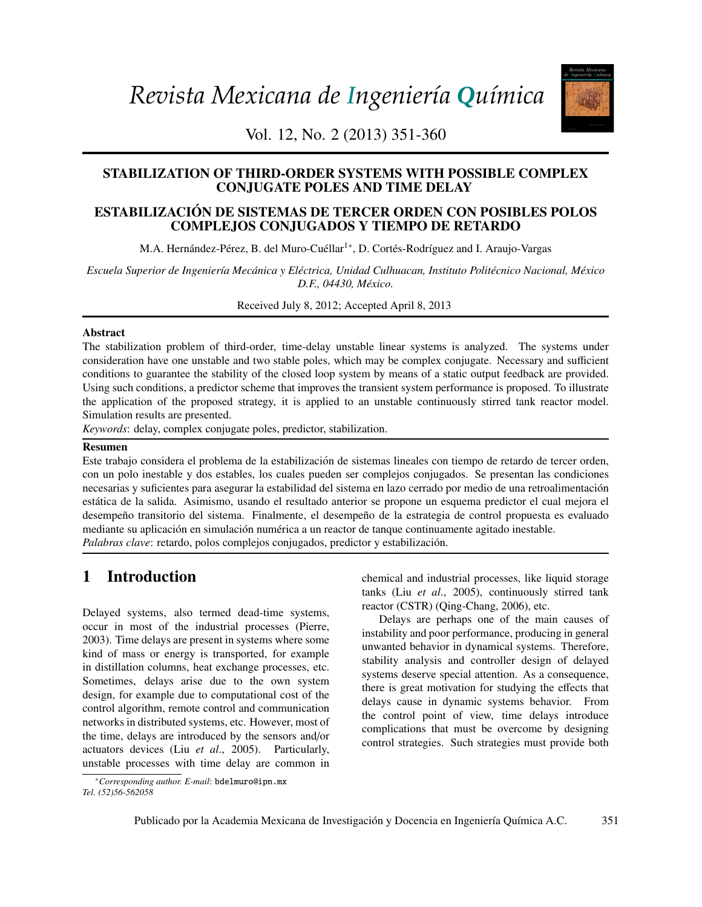*Revista Mexicana de Ingeniería Química*



Vol. 12, No. 2 (2013) 351-360

# STABILIZATION OF THIRD-ORDER SYSTEMS WITH POSSIBLE COMPLEX CONJUGATE POLES AND TIME DELAY

## 213 Derivation and application of the Stefan-Maxwell equations COMPLEJOS CONJUGADOS Y TIEMPO DE RETARDO ESTABILIZACIÓN DE SISTEMAS DE TERCER ORDEN CON POSIBLES POLOS

M.A. Hernández-Pérez, B. del Muro-Cuéllar<sup>1</sup>\*, D. Cortés-Rodríguez and I. Araujo-Vargas

.<br>*Escuela Superior de Ingeniería Mecánica y Eléctrica, Unidad Culhuacan, Instituto Politécnico Nacional, México D.F., 04430, M´exico.*

*Biotecnología / Biotechnology*  Received July 8, 2012; Accepted April 8, 2013

#### $\Omega$ <sup>45</sup> Modelado de la biorreactores de lodos de lodos de lodos de lodos de hidrocarburos totales de hidrocarburos totales de hidrocarburos totales de hidrocarburos totales de hidrocarburos totales de hidrocarburos total Abstract

The stabilization problem of third-order, time-delay unstable linear systems is analyzed. The systems under conditions to guarantee the stability of the closed loop system by means of a static output feedback are provided. Easing such conditions, a predictor sentence that improves the transfer system performance is proposed. To mustade the application of the proposed strategy, it is applied to an unstable continuously stirred tank reactor mo Simulation results are presented. consideration have one unstable and two stable poles, which may be complex conjugate. Necessary and sufficient Using such conditions, a predictor scheme that improves the transient system performance is proposed. To illustrate

Keywords: delay, complex conjugate poles, predictor, stabilization.

#### 259 Crecimiento, sobrevivencia y adaptación de *Bifidobacterium infantis* a condiciones ácidas Resumen

con un polo inestable y dos estables, los cuales pueden ser complejos conjugados. Se presentan las condiciones *L. Mayorga-Reyes, P. Bustamante-Camilo, A. Gutiérrez-Nava, E. Barranco-Florido y A. Azaola-*necesarias y suficientes para asegurar la estabilidad del sistema en lazo cerrado por medio de una retroalimentacion´ desempeño transitorio del sistema. Finalmente, el desempeño de la estrategia de control propuesta es evaluado mediante su aplicación en simulación numérica a un reactor de tanque continuamente agitado inestable. presence of  $\mathbf{r}$  and  $\mathbf{r}$  is not  $\mathbf{r}$ Este trabajo considera el problema de la estabilizacion de sistemas lineales con tiempo de retardo de tercer orden, ´ estatica de la salida. Asimismo, usando el resultado anterior se propone un esquema predictor el cual mejora el ´ *Palabras clave*: retardo, polos complejos conjugados, predictor y estabilización.

## 1 Introduction

Delayed systems, also termed dead-time systems, Delayed and Graphical County (Zurigin Carlos and Hernández-Sánchez and Hernández-Sánchez and Hernández-Sánchez and Hernández-Sánchez and Hernández-Sánchez and Hernández-Sánch kind of mass or energy is transported, for example in distillation columns, heat exchange processes, etc. Such the distillation de los capitals en exchange processes, etc. Sometimes, delays arise due to the own system control algorithm, remote control and communication delays cause in dynamicontrol algorithm, remote control and communication networks in distributed systems, etc. However, most of occur in most of the industrial processes (Pierre, 2003). Time delays are present in systems where some design, for example due to computational cost of the the time, delays are introduced by the sensors and/or actuators devices (Liu *et al*., 2005). Particularly, unstable processes with time delay are common in

<span id="page-0-0"></span><sup>∗</sup>*Corresponding author. E-mail*: bdelmuro@ipn.mx *Tel. (52)56-562058*

**ntroduction** entroduction entroduction entroduction entroduction entroduction entroduction tanks (Liu *et al*., 2005), continuously stirred tank reactor (CSTR) (Qing-Chang, 2006), etc.

> Delays are perhaps one of the main causes of instability and poor performance, producing in general unwanted behavior in dynamical systems. Therefore, stability analysis and controller design of delayed systems deserve special attention. As a consequence, there is great motivation for studying the effects that delays cause in dynamic systems behavior. From the control point of view, time delays introduce complications that must be overcome by designing control strategies. Such strategies must provide both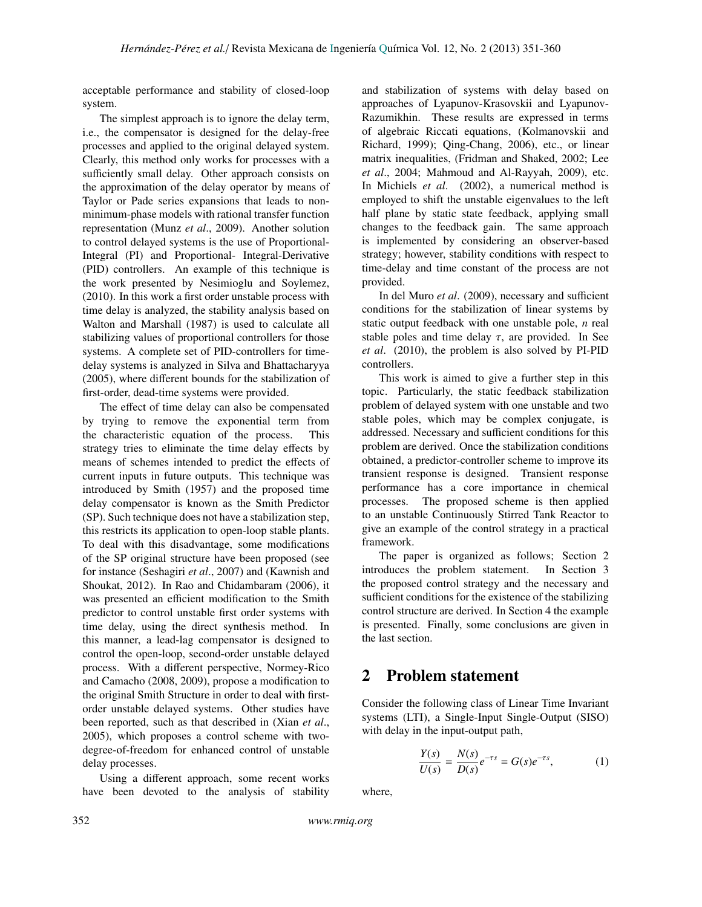acceptable performance and stability of closed-loop system.

The simplest approach is to ignore the delay term, i.e., the compensator is designed for the delay-free processes and applied to the original delayed system. Clearly, this method only works for processes with a sufficiently small delay. Other approach consists on the approximation of the delay operator by means of Taylor or Pade series expansions that leads to nonminimum-phase models with rational transfer function representation (Munz *et al*., 2009). Another solution to control delayed systems is the use of Proportional-Integral (PI) and Proportional- Integral-Derivative (PID) controllers. An example of this technique is the work presented by Nesimioglu and Soylemez, (2010). In this work a first order unstable process with time delay is analyzed, the stability analysis based on Walton and Marshall (1987) is used to calculate all stabilizing values of proportional controllers for those systems. A complete set of PID-controllers for timedelay systems is analyzed in Silva and Bhattacharyya (2005), where different bounds for the stabilization of first-order, dead-time systems were provided.

The effect of time delay can also be compensated by trying to remove the exponential term from the characteristic equation of the process. This strategy tries to eliminate the time delay effects by means of schemes intended to predict the effects of current inputs in future outputs. This technique was introduced by Smith (1957) and the proposed time delay compensator is known as the Smith Predictor (SP). Such technique does not have a stabilization step, this restricts its application to open-loop stable plants. To deal with this disadvantage, some modifications of the SP original structure have been proposed (see for instance (Seshagiri *et al*., 2007) and (Kawnish and Shoukat, 2012). In Rao and Chidambaram (2006), it was presented an efficient modification to the Smith predictor to control unstable first order systems with time delay, using the direct synthesis method. In this manner, a lead-lag compensator is designed to control the open-loop, second-order unstable delayed process. With a different perspective, Normey-Rico and Camacho (2008, 2009), propose a modification to the original Smith Structure in order to deal with firstorder unstable delayed systems. Other studies have been reported, such as that described in (Xian *et al*., 2005), which proposes a control scheme with twodegree-of-freedom for enhanced control of unstable delay processes.

Using a different approach, some recent works have been devoted to the analysis of stability and stabilization of systems with delay based on approaches of Lyapunov-Krasovskii and Lyapunov-Razumikhin. These results are expressed in terms of algebraic Riccati equations, (Kolmanovskii and Richard, 1999); Qing-Chang, 2006), etc., or linear matrix inequalities, (Fridman and Shaked, 2002; Lee *et al*., 2004; Mahmoud and Al-Rayyah, 2009), etc. In Michiels *et al*. (2002), a numerical method is employed to shift the unstable eigenvalues to the left half plane by static state feedback, applying small changes to the feedback gain. The same approach is implemented by considering an observer-based strategy; however, stability conditions with respect to time-delay and time constant of the process are not provided.

In del Muro *et al*. (2009), necessary and sufficient conditions for the stabilization of linear systems by static output feedback with one unstable pole, *n* real stable poles and time delay  $\tau$ , are provided. In See *et al*. (2010), the problem is also solved by PI-PID controllers.

This work is aimed to give a further step in this topic. Particularly, the static feedback stabilization problem of delayed system with one unstable and two stable poles, which may be complex conjugate, is addressed. Necessary and sufficient conditions for this problem are derived. Once the stabilization conditions obtained, a predictor-controller scheme to improve its transient response is designed. Transient response performance has a core importance in chemical processes. The proposed scheme is then applied to an unstable Continuously Stirred Tank Reactor to give an example of the control strategy in a practical framework.

The paper is organized as follows; Section 2 introduces the problem statement. In Section 3 the proposed control strategy and the necessary and sufficient conditions for the existence of the stabilizing control structure are derived. In Section 4 the example is presented. Finally, some conclusions are given in the last section.

### 2 Problem statement

Consider the following class of Linear Time Invariant systems (LTI), a Single-Input Single-Output (SISO) with delay in the input-output path,

$$
\frac{Y(s)}{U(s)} = \frac{N(s)}{D(s)}e^{-\tau s} = G(s)e^{-\tau s},
$$
 (1)

where,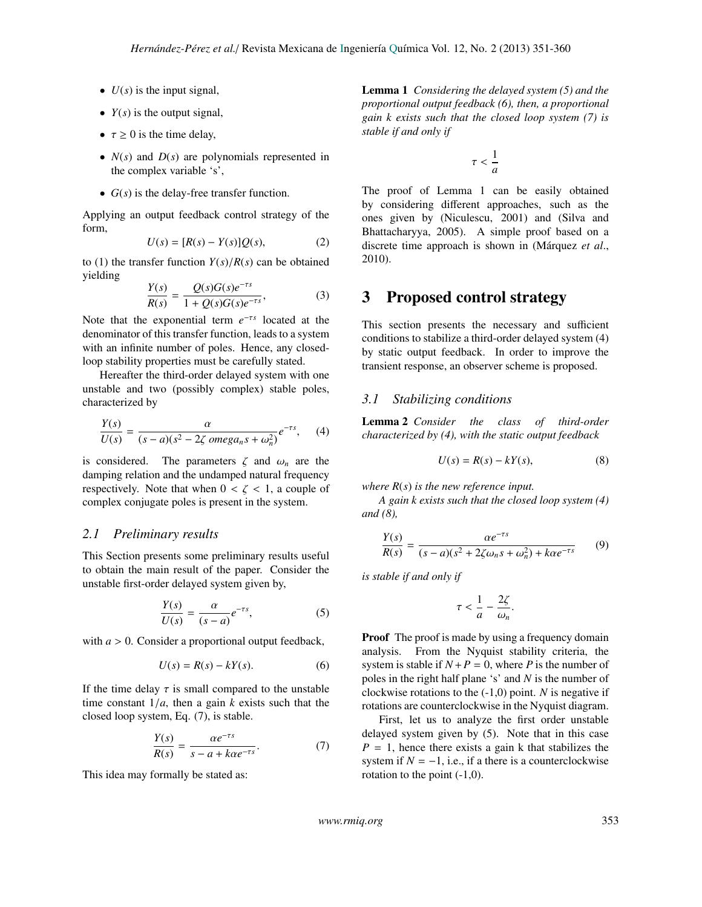- $\bullet$  *U(s)* is the input signal,
- $Y(s)$  is the output signal,
- $\tau \geq 0$  is the time delay,
- *N*(*s*) and *D*(*s*) are polynomials represented in the complex variable 's',
- *G*(*s*) is the delay-free transfer function.

Applying an output feedback control strategy of the form,

$$
U(s) = [R(s) - Y(s)]Q(s), \qquad (2)
$$

to (1) the transfer function  $Y(s)/R(s)$  can be obtained yielding

$$
\frac{Y(s)}{R(s)} = \frac{Q(s)G(s)e^{-\tau s}}{1 + Q(s)G(s)e^{-\tau s}},
$$
\n(3)

Note that the exponential term  $e^{-\tau s}$  located at the denominator of this transfer function, leads to a system with an infinite number of poles. Hence, any closedloop stability properties must be carefully stated.

Hereafter the third-order delayed system with one unstable and two (possibly complex) stable poles, characterized by

$$
\frac{Y(s)}{U(s)} = \frac{\alpha}{(s-a)(s^2 - 2\zeta \text{ omega}_n s + \omega_n^2)} e^{-\tau s}, \quad (4)
$$

is considered. The parameters  $\zeta$  and  $\omega_n$  are the damping relation and the undamped natural frequency respectively. Note that when  $0 < \zeta < 1$ , a couple of complex conjugate poles is present in the system.

#### *2.1 Preliminary results*

This Section presents some preliminary results useful to obtain the main result of the paper. Consider the unstable first-order delayed system given by,

$$
\frac{Y(s)}{U(s)} = \frac{\alpha}{(s-a)} e^{-\tau s},\tag{5}
$$

with  $a > 0$ . Consider a proportional output feedback,

$$
U(s) = R(s) - kY(s). \tag{6}
$$

If the time delay  $\tau$  is small compared to the unstable time constant  $1/a$ , then a gain *k* exists such that the closed loop system, Eq. (7), is stable.

$$
\frac{Y(s)}{R(s)} = \frac{\alpha e^{-\tau s}}{s - a + k\alpha e^{-\tau s}}.\tag{7}
$$

This idea may formally be stated as:

Lemma 1 *Considering the delayed system (5) and the proportional output feedback (6), then, a proportional gain k exists such that the closed loop system (7) is stable if and only if*

$$
\tau < \frac{1}{a}
$$

The proof of Lemma 1 can be easily obtained by considering different approaches, such as the ones given by (Niculescu, 2001) and (Silva and Bhattacharyya, 2005). A simple proof based on a discrete time approach is shown in (Márquez et al., 2010).

## 3 Proposed control strategy

This section presents the necessary and sufficient conditions to stabilize a third-order delayed system (4) by static output feedback. In order to improve the transient response, an observer scheme is proposed.

#### *3.1 Stabilizing conditions*

Lemma 2 *Consider the class of third-order characterized by (4), with the static output feedback*

$$
U(s) = R(s) - kY(s),\tag{8}
$$

*where R*(*s*) *is the new reference input.*

*A gain k exists such that the closed loop system (4) and (8),*

$$
\frac{Y(s)}{R(s)} = \frac{\alpha e^{-\tau s}}{(s-a)(s^2 + 2\zeta\omega_n s + \omega_n^2) + k\alpha e^{-\tau s}}
$$
(9)

*is stable if and only if*

$$
\tau < \frac{1}{a} - \frac{2\zeta}{\omega_n}.
$$

**Proof** The proof is made by using a frequency domain analysis. From the Nyquist stability criteria, the system is stable if  $N + P = 0$ , where *P* is the number of poles in the right half plane 's' and *N* is the number of clockwise rotations to the (-1,0) point. *N* is negative if rotations are counterclockwise in the Nyquist diagram.

First, let us to analyze the first order unstable delayed system given by (5). Note that in this case  $P = 1$ , hence there exists a gain k that stabilizes the system if  $N = -1$ , i.e., if a there is a counterclockwise rotation to the point (-1,0).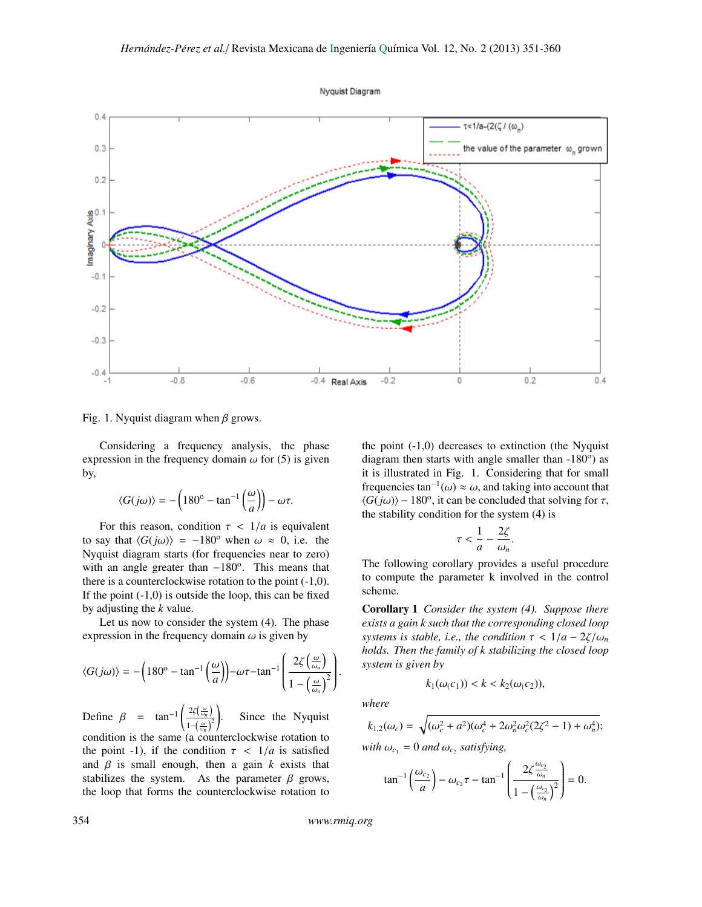



Fig. 1. Nyquist diagram when  $\beta$  grows.

Considering a frequency analysis, the phase expression in the frequency domain  $\omega$  for (5) is given by,

$$
\langle G(j\omega)\rangle = -\left(180^{\circ} - \tan^{-1}\left(\frac{\omega}{a}\right)\right) - \omega\tau.
$$

For this reason, condition  $\tau$  <  $1/a$  is equivalent to say that  $\langle G(j\omega)\rangle = -180^\circ$  when  $\omega \approx 0$ , i.e. the Nyquist diagram starts (for frequencies near to zero) with an angle greater than -180°. This means that there is a counterclockwise rotation to the point (-1,0). If the point  $(-1,0)$  is outside the loop, this can be fixed by adjusting the *k* value.

Let us now to consider the system (4). The phase expression in the frequency domain  $\omega$  is given by

$$
\langle G(j\omega) \rangle = -\left(180^{\circ} - \tan^{-1}\left(\frac{\omega}{a}\right)\right) - \omega \tau - \tan^{-1}\left(\frac{2\zeta\left(\frac{\omega}{\omega_n}\right)}{1 - \left(\frac{\omega}{\omega_n}\right)^2}\right)
$$

Define  $\beta$  = tan<sup>-1</sup>  $\left(\frac{2\zeta(\frac{\omega}{\omega_n})}{1-(\frac{\omega}{\omega_n})^2}\right)$  $1-\left(\frac{\omega}{\omega n}\right)^2$ condition is the same (a counterclockwise rotation to ! Since the Nyquist the point -1), if the condition  $\tau$  <  $1/a$  is satisfied and  $\beta$  is small enough, then a gain  $k$  exists that stabilizes the system. As the parameter  $\beta$  grows, the loop that forms the counterclockwise rotation to the point  $(-1,0)$  decreases to extinction (the Nyquist diagram then starts with angle smaller than  $-180^\circ$ ) as it is illustrated in Fig. 1. Considering that for small frequencies  $\tan^{-1}(\omega) \approx \omega$ , and taking into account that  $\angle G(i\omega)$ ) – 180<sup>o</sup> it can be concluded that solving for  $\tau$ .  $\langle G(j\omega)\rangle$  – 180<sup>o</sup>, it can be concluded that solving for  $\tau$ , the stability condition for the system (4) is the stability condition for the system (4) is

$$
\tau < \frac{1}{a} - \frac{2\zeta}{\omega_n}.
$$

 $\frac{a}{\omega_n}$  The following corollary provides a useful procedure to compute the parameter k involved in the control scheme.

Corollary 1 *Consider the system (4). Suppose there exists a gain k such that the corresponding closed loop systems is stable, i.e., the condition*  $\tau < 1/a - 2\zeta/\omega_n$ *holds. Then the family of k stabilizing the closed loop system is given by*

$$
k_1(\omega(c_1)) < k < k_2(\omega(c_2)),
$$

*where*

$$
k_{1,2}(\omega_c) = \sqrt{(\omega_c^2 + a^2)(\omega_c^4 + 2\omega_n^2\omega_c^2(2\zeta^2 - 1) + \omega_n^4)};
$$
  
with  $\omega_{c_1} = 0$  and  $\omega_{c_2}$  satisfying,

$$
\tan^{-1}\left(\frac{\omega_{c_2}}{a}\right) - \omega_{c_2}\tau - \tan^{-1}\left(\frac{2\zeta \frac{\omega_{c_2}}{\omega_n}}{1 - \left(\frac{\omega_{c_2}}{\omega_n}\right)^2}\right) = 0.
$$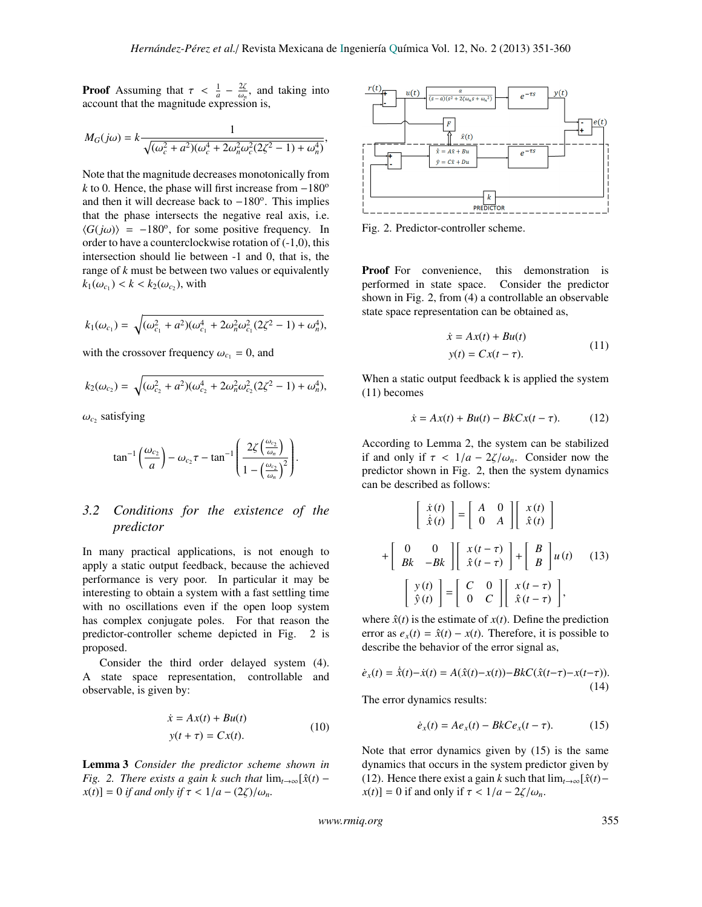**Proof** Assuming that  $\tau < \frac{1}{a} - \frac{2\zeta}{\omega_n}$ , and taking into account that the magnitude expression is account that the magnitude expression is,

$$
M_G(j\omega) = k \frac{1}{\sqrt{(\omega_c^2 + a^2)(\omega_c^4 + 2\omega_n^2 \omega_c^2 (2\zeta^2 - 1) + \omega_n^4)}},
$$

Note that the magnitude decreases monotonically from *k* to 0. Hence, the phase will first increase from  $-180^\circ$ and then it will decrease back to -180°. This implies that the phase intersects the negative real axis, i.e.  $\langle G(j\omega) \rangle = -180^\circ$ , for some positive frequency. In order to have a counterclockwise rotation of (-1.0) this order to have a counterclockwise rotation of (-1,0), this intersection should lie between -1 and 0, that is, the range of *k* must be between two values or equivalently  $k_1(\omega_{c_1}) < k < k_2(\omega_{c_2})$ , with

$$
k_1(\omega_{c_1}) = \sqrt{(\omega_{c_1}^2 + a^2)(\omega_{c_1}^4 + 2\omega_n^2\omega_{c_1}^2(2\zeta^2 - 1) + \omega_n^4)},
$$

with the crossover frequency  $\omega_{c_1} = 0$ , and

$$
k_2(\omega_{c_2}) = \sqrt{(\omega_{c_2}^2 + a^2)(\omega_{c_2}^4 + 2\omega_n^2\omega_{c_2}^2(2\zeta^2 - 1) + \omega_n^4)},
$$

 $\omega_{c_2}$  satisfying

$$
\tan^{-1}\left(\frac{\omega_{c_2}}{a}\right) - \omega_{c_2}\tau - \tan^{-1}\left(\frac{2\zeta\left(\frac{\omega_{c_2}}{\omega_n}\right)}{1 - \left(\frac{\omega_{c_2}}{\omega_n}\right)^2}\right)
$$

#### *3.2 Conditions for the existence of the predictor*

In many practical applications, is not enough to apply a static output feedback, because the achieved performance is very poor. In particular it may be interesting to obtain a system with a fast settling time with no oscillations even if the open loop system has complex conjugate poles. For that reason the predictor-controller scheme depicted in Fig. 2 is proposed.

Consider the third order delayed system (4). A state space representation, controllable and observable, is given by:

$$
\dot{x} = Ax(t) + Bu(t)
$$
  

$$
y(t + \tau) = Cx(t).
$$
 (10)

Lemma 3 *Consider the predictor scheme shown in Fig.* 2. There exists a gain k such that  $\lim_{t\to\infty} [\hat{x}(t)$  $x(t)$ ] = 0 *if and only if*  $\tau$  <  $1/a - (2\zeta)/\omega_n$ .



Fig. 2. Predictor-controller scheme.

Proof For convenience, this demonstration is performed in state space. Consider the predictor shown in Fig. 2, from (4) a controllable an observable state space representation can be obtained as,

$$
\begin{aligned} \n\dot{x} &= Ax(t) + Bu(t) \\ \ny(t) &= Cx(t - \tau). \n\end{aligned} \tag{11}
$$

When a static output feedback k is applied the system (11) becomes

$$
\dot{x} = Ax(t) + Bu(t) - BkCx(t - \tau). \tag{12}
$$

According to Lemma 2, the system can be stabilized if and only if  $\tau < 1/a - 2\zeta/\omega_n$ . Consider now the predictor shown in Fig. 2, then the system dynamics can be described as follows:

$$
\begin{bmatrix} \dot{x}(t) \\ \dot{\hat{x}}(t) \end{bmatrix} = \begin{bmatrix} A & 0 \\ 0 & A \end{bmatrix} \begin{bmatrix} x(t) \\ \hat{x}(t) \end{bmatrix}
$$

$$
+ \begin{bmatrix} 0 & 0 \\ Bk & -Bk \end{bmatrix} \begin{bmatrix} x(t-\tau) \\ \hat{x}(t-\tau) \end{bmatrix} + \begin{bmatrix} B \\ B \end{bmatrix} u(t) \quad (13)
$$

$$
\begin{bmatrix} y(t) \\ \hat{y}(t) \end{bmatrix} = \begin{bmatrix} C & 0 \\ 0 & C \end{bmatrix} \begin{bmatrix} x(t-\tau) \\ \hat{x}(t-\tau) \end{bmatrix},
$$

where  $\hat{x}(t)$  is the estimate of  $x(t)$ . Define the prediction error as  $e_x(t) = \hat{x}(t) - x(t)$ . Therefore, it is possible to describe the behavior of the error signal as,

$$
\dot{e}_x(t) = \dot{\hat{x}}(t) - \dot{x}(t) = A(\hat{x}(t) - x(t)) - BkC(\hat{x}(t-\tau) - x(t-\tau)).
$$
\n(14)

The error dynamics results:

$$
\dot{e}_x(t) = Ae_x(t) - BkCe_x(t-\tau). \tag{15}
$$

Note that error dynamics given by (15) is the same dynamics that occurs in the system predictor given by (12). Hence there exist a gain *k* such that  $\lim_{t\to\infty} [\hat{x}(t)$  $x(t)$ ] = 0 if and only if  $\tau < 1/a - 2\zeta/\omega_n$ .

*www.rmiq.org* 355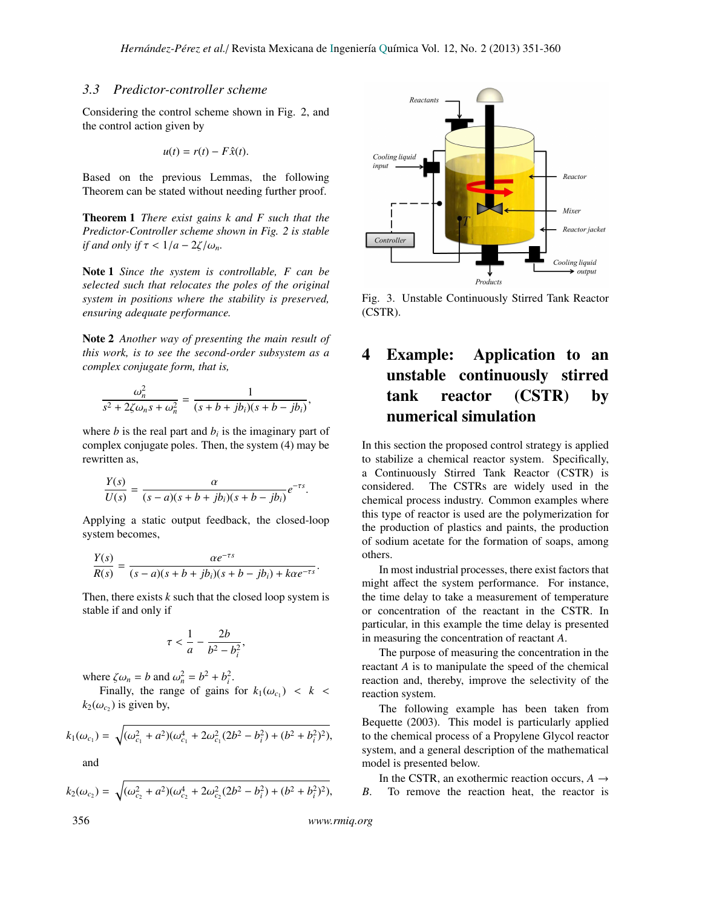,

#### *3.3 Predictor-controller scheme*

Considering the control scheme shown in Fig. 2, and the control action given by

$$
u(t) = r(t) - F\hat{x}(t).
$$

Based on the previous Lemmas, the following Theorem can be stated without needing further proof.

Theorem 1 *There exist gains k and F such that the Predictor-Controller scheme shown in Fig. 2 is stable if and only if*  $\tau < 1/a - 2\zeta/\omega_n$ *.* 

Note 1 *Since the system is controllable, F can be selected such that relocates the poles of the original system in positions where the stability is preserved, ensuring adequate performance.*

Note 2 *Another way of presenting the main result of this work, is to see the second-order subsystem as a complex conjugate form, that is,*

$$
\frac{\omega_n^2}{s^2 + 2\zeta\omega_n s + \omega_n^2} = \frac{1}{(s+b+jb_i)(s+b-jb_i)}
$$

where  $b$  is the real part and  $b_i$  is the imaginary part of complex conjugate poles. Then, the system (4) may be rewritten as,

$$
\frac{Y(s)}{U(s)} = \frac{\alpha}{(s-a)(s+b+jb_i)(s+b-jb_i)}e^{-\tau s}.
$$

Applying a static output feedback, the closed-loop system becomes,

$$
\frac{Y(s)}{R(s)} = \frac{\alpha e^{-\tau s}}{(s-a)(s+b+jb_i)(s+b-jb_i) + k\alpha e^{-\tau s}}
$$

Then, there exists  $k$  such that the closed loop system is stable if and only if

$$
\tau < \frac{1}{a} - \frac{2b}{b^2 - b_i^2}
$$

,

where  $\zeta \omega_n = b$  and  $\omega_n^2 = b^2 + b_i^2$ .<br>Finally, the range of gains

Finally, the range of gains for  $k_1(\omega_{c_1}) < k <$  $k_2(\omega_{c_2})$  is given by,

$$
k_1(\omega_{c_1}) = \sqrt{(\omega_{c_1}^2 + a^2)(\omega_{c_1}^4 + 2\omega_{c_1}^2(2b^2 - b_i^2) + (b^2 + b_i^2)^2)},
$$

and

$$
k_2(\omega_{c_2}) = \sqrt{(\omega_{c_2}^2 + a^2)(\omega_{c_2}^4 + 2\omega_{c_2}^2(2b^2 - b_i^2) + (b^2 + b_i^2)^2)},
$$



Fig. 3. Unstable Continuously Stirred Tank Reactor (CSTR).

# 4 Example: Application to an unstable continuously stirred tank reactor (CSTR) by numerical simulation

In this section the proposed control strategy is applied to stabilize a chemical reactor system. Specifically, a Continuously Stirred Tank Reactor (CSTR) is considered. The CSTRs are widely used in the chemical process industry. Common examples where this type of reactor is used are the polymerization for the production of plastics and paints, the production of sodium acetate for the formation of soaps, among others.

In most industrial processes, there exist factors that might affect the system performance. For instance, the time delay to take a measurement of temperature or concentration of the reactant in the CSTR. In particular, in this example the time delay is presented in measuring the concentration of reactant *A*.

The purpose of measuring the concentration in the reactant *A* is to manipulate the speed of the chemical reaction and, thereby, improve the selectivity of the reaction system.

The following example has been taken from Bequette (2003). This model is particularly applied to the chemical process of a Propylene Glycol reactor system, and a general description of the mathematical model is presented below.

In the CSTR, an exothermic reaction occurs,  $A \rightarrow$ *B*. To remove the reaction heat, the reactor is

356 *www.rmiq.org*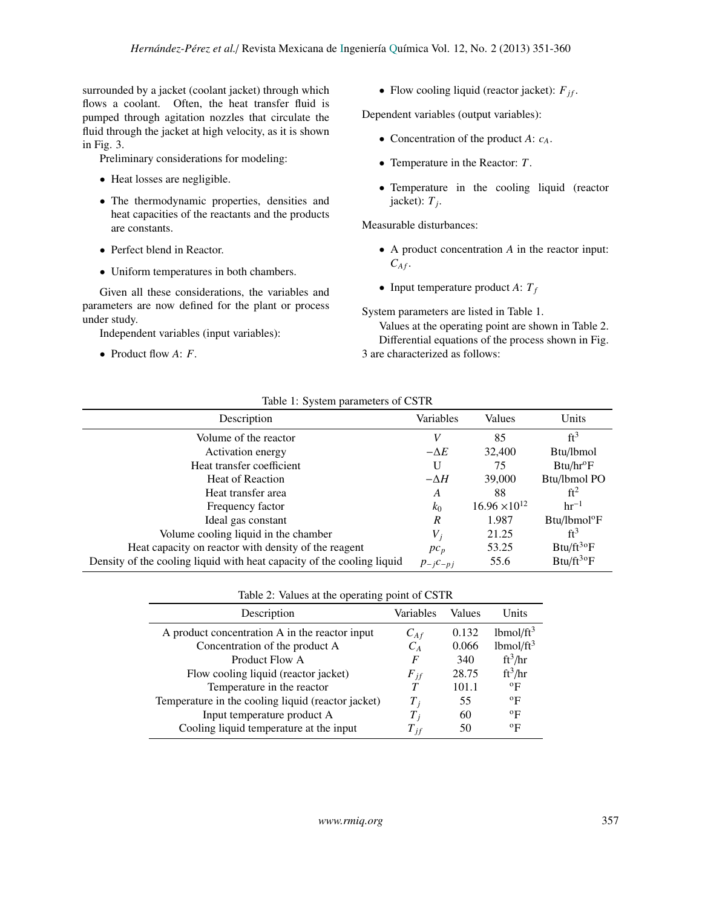surrounded by a jacket (coolant jacket) through which flows a coolant. Often, the heat transfer fluid is pumped through agitation nozzles that circulate the fluid through the jacket at high velocity, as it is shown in Fig. 3.

Preliminary considerations for modeling:

- Heat losses are negligible.
- The thermodynamic properties, densities and heat capacities of the reactants and the products are constants.
- Perfect blend in Reactor.
- Uniform temperatures in both chambers.

Given all these considerations, the variables and parameters are now defined for the plant or process under study.

Independent variables (input variables):

• Product flow *A*: *F*.

• Flow cooling liquid (reactor jacket):  $F_{if}$ .

Dependent variables (output variables):

- Concentration of the product *A*: *cA*.
- Temperature in the Reactor: *T*.
- Temperature in the cooling liquid (reactor  $jacket$ :  $T_j$ .

Measurable disturbances:

- A product concentration *A* in the reactor input:  $C_{Af}$ .
- Input temperature product  $A: T_f$

System parameters are listed in Table 1.

Values at the operating point are shown in Table 2. Differential equations of the process shown in Fig. 3 are characterized as follows:

#### Table 1: System parameters of CSTR

| Description                                                            | Variables        | Values                 | Units                    |
|------------------------------------------------------------------------|------------------|------------------------|--------------------------|
| Volume of the reactor                                                  | V                | 85                     | $ft^3$                   |
| Activation energy                                                      | $-\Delta E$      | 32,400                 | B <sub>tu</sub> /lbmol   |
| Heat transfer coefficient                                              | U                | 75                     | Btu/hr <sup>o</sup> F    |
| <b>Heat of Reaction</b>                                                | $-\Delta H$      | 39,000                 | Btu/lbmol PO             |
| Heat transfer area                                                     | A                | 88                     | $ft^2$                   |
| Frequency factor                                                       | $k_0$            | $16.96 \times 10^{12}$ | $hr^{-1}$                |
| Ideal gas constant                                                     | $\boldsymbol{R}$ | 1.987                  | Btu/lbmol <sup>o</sup> F |
| Volume cooling liquid in the chamber                                   | $V_i$            | 21.25                  | ft <sup>3</sup>          |
| Heat capacity on reactor with density of the reagent                   | $pc_p$           | 53.25                  | $Btu/ft^{30}F$           |
| Density of the cooling liquid with heat capacity of the cooling liquid | $p_{-i}c_{-pj}$  | 55.6                   | $Btu/ft^{30}F$           |

| Description                                        | Variables | Values | Units                    |  |  |
|----------------------------------------------------|-----------|--------|--------------------------|--|--|
| A product concentration A in the reactor input     | $C_{Af}$  | 0.132  | $1b$ mol/ft <sup>3</sup> |  |  |
| Concentration of the product A                     | $C_{A}$   | 0.066  | lbmol/ft <sup>3</sup>    |  |  |
| Product Flow A                                     | F         | 340    | $ft^3/hr$                |  |  |
| Flow cooling liquid (reactor jacket)               | $F_{jf}$  | 28.75  | $ft^3/hr$                |  |  |
| Temperature in the reactor                         | $\tau$    | 101.1  | $\rm ^{o}F$              |  |  |
| Temperature in the cooling liquid (reactor jacket) | $T_{i}$   | 55     | $\rm ^{o}F$              |  |  |
| Input temperature product A                        | $T$ ;     | 60     | $\rm ^{o}F$              |  |  |
| Cooling liquid temperature at the input            | $T_{if}$  | 50     | $\rm ^{o}F$              |  |  |
|                                                    |           |        |                          |  |  |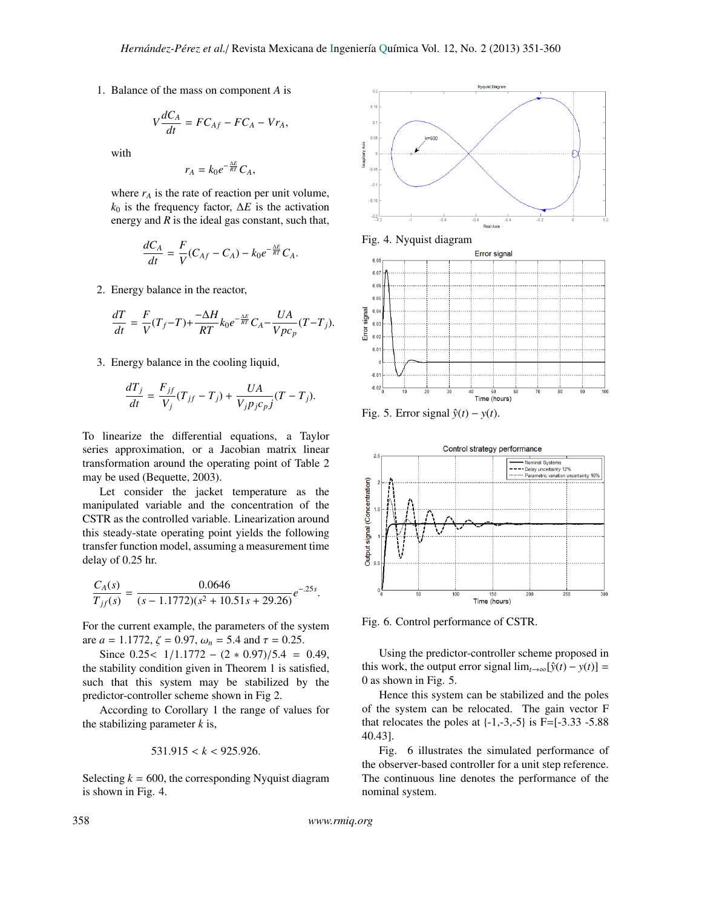1. Balance of the mass on component *A* is

$$
V\frac{dC_A}{dt} = FC_{Af} - FC_A - Vr_A,
$$

with

$$
r_A = k_0 e^{-\frac{\Delta E}{RT}} C_A,
$$

where  $r_A$  is the rate of reaction per unit volume,  $k_0$  is the frequency factor,  $\Delta E$  is the activation energy and *R* is the ideal gas constant, such that,

$$
\frac{dC_A}{dt}=\frac{F}{V}(C_{Af}-C_A)-k_0e^{-\frac{\Delta E}{RT}}C_A.
$$

2. Energy balance in the reactor,

$$
\frac{dT}{dt} = \frac{F}{V}(T_f - T) + \frac{-\Delta H}{RT} k_0 e^{-\frac{\Delta E}{RT}} C_A - \frac{UA}{Vpc_p}(T - T_j).
$$

3. Energy balance in the cooling liquid,

$$
\frac{dT_j}{dt} = \frac{F_{jf}}{V_j}(T_{jf} - T_j) + \frac{UA}{V_j p_j c_p j}(T - T_j).
$$

To linearize the differential equations, a Taylor series approximation, or a Jacobian matrix linear transformation around the operating point of Table 2 may be used (Bequette, 2003).

Let consider the jacket temperature as the manipulated variable and the concentration of the CSTR as the controlled variable. Linearization around this steady-state operating point yields the following transfer function model, assuming a measurement time delay of 0.25 hr.

$$
\frac{C_A(s)}{T_{jf}(s)} = \frac{0.0646}{(s - 1.1772)(s^2 + 10.51s + 29.26)}e^{-.25s}.
$$

For the current example, the parameters of the system are  $a = 1.1772$ ,  $\zeta = 0.97$ ,  $\omega_n = 5.4$  and  $\tau = 0.25$ .

Since  $0.25 < 1/1.1772 - (2 * 0.97)/5.4 = 0.49$ , the stability condition given in Theorem 1 is satisfied, such that this system may be stabilized by the predictor-controller scheme shown in Fig 2.

According to Corollary 1 the range of values for the stabilizing parameter *k* is,

$$
531.915 < k < 925.926.
$$

Selecting  $k = 600$ , the corresponding Nyquist diagram is shown in Fig. 4.











Fig. 6. Control performance of CSTR.

Using the predictor-controller scheme proposed in this work, the output error signal  $\lim_{t\to\infty} [\hat{y}(t) - y(t)] =$ 0 as shown in Fig. 5.

Hence this system can be stabilized and the poles of the system can be relocated. The gain vector F that relocates the poles at  $\{-1,-3,-5\}$  is F= $[-3.33 - 5.88]$ 40.43].

Fig. 6 illustrates the simulated performance of the observer-based controller for a unit step reference. The continuous line denotes the performance of the nominal system.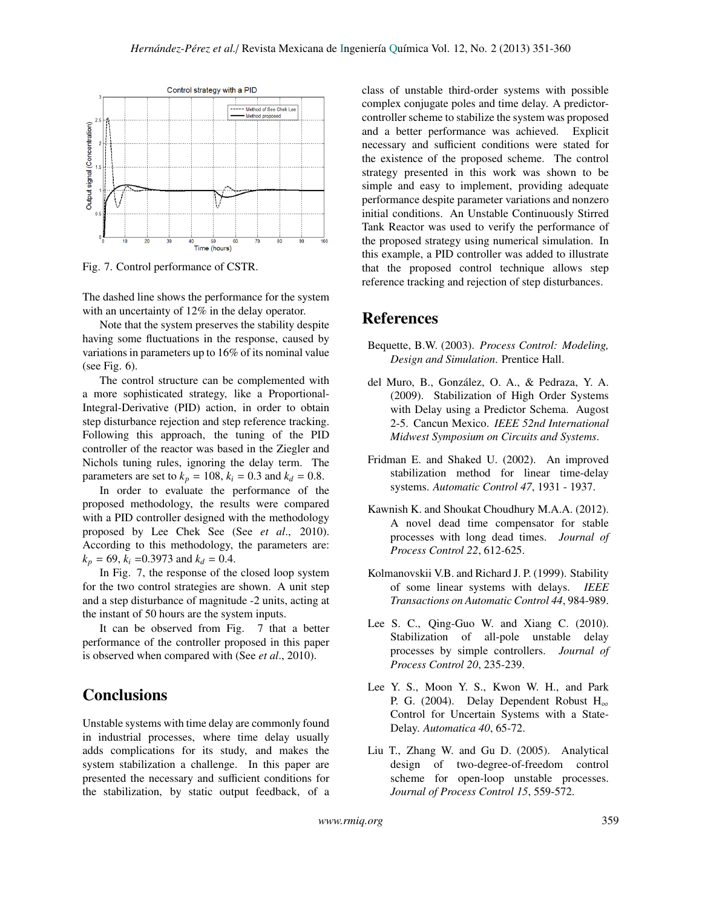

Fig. 7. Control performance of CSTR.

The dashed line shows the performance for the system with an uncertainty of 12% in the delay operator.

Note that the system preserves the stability despite having some fluctuations in the response, caused by variations in parameters up to 16% of its nominal value (see Fig. 6).

The control structure can be complemented with a more sophisticated strategy, like a Proportional-Integral-Derivative (PID) action, in order to obtain step disturbance rejection and step reference tracking. Following this approach, the tuning of the PID controller of the reactor was based in the Ziegler and Nichols tuning rules, ignoring the delay term. The parameters are set to  $k_p = 108$ ,  $k_i = 0.3$  and  $k_d = 0.8$ .

In order to evaluate the performance of the proposed methodology, the results were compared with a PID controller designed with the methodology proposed by Lee Chek See (See *et al*., 2010). According to this methodology, the parameters are:  $k_p = 69$ ,  $k_i = 0.3973$  and  $k_d = 0.4$ .

In Fig. 7, the response of the closed loop system for the two control strategies are shown. A unit step and a step disturbance of magnitude -2 units, acting at the instant of 50 hours are the system inputs.

It can be observed from Fig. 7 that a better performance of the controller proposed in this paper is observed when compared with (See *et al*., 2010).

## **Conclusions**

Unstable systems with time delay are commonly found in industrial processes, where time delay usually adds complications for its study, and makes the system stabilization a challenge. In this paper are presented the necessary and sufficient conditions for the stabilization, by static output feedback, of a class of unstable third-order systems with possible complex conjugate poles and time delay. A predictorcontroller scheme to stabilize the system was proposed and a better performance was achieved. Explicit necessary and sufficient conditions were stated for the existence of the proposed scheme. The control strategy presented in this work was shown to be simple and easy to implement, providing adequate performance despite parameter variations and nonzero initial conditions. An Unstable Continuously Stirred Tank Reactor was used to verify the performance of the proposed strategy using numerical simulation. In this example, a PID controller was added to illustrate that the proposed control technique allows step reference tracking and rejection of step disturbances.

### References

- Bequette, B.W. (2003). *Process Control: Modeling, Design and Simulation*. Prentice Hall.
- del Muro, B., González, O. A., & Pedraza, Y. A. (2009). Stabilization of High Order Systems with Delay using a Predictor Schema. Augost 2-5. Cancun Mexico. *IEEE 52nd International Midwest Symposium on Circuits and Systems*.
- Fridman E. and Shaked U. (2002). An improved stabilization method for linear time-delay systems. *Automatic Control 47*, 1931 - 1937.
- Kawnish K. and Shoukat Choudhury M.A.A. (2012). A novel dead time compensator for stable processes with long dead times. *Journal of Process Control 22*, 612-625.
- Kolmanovskii V.B. and Richard J. P. (1999). Stability of some linear systems with delays. *IEEE Transactions on Automatic Control 44*, 984-989.
- Lee S. C., Qing-Guo W. and Xiang C. (2010). Stabilization of all-pole unstable delay processes by simple controllers. *Journal of Process Control 20*, 235-239.
- Lee Y. S., Moon Y. S., Kwon W. H., and Park P. G. (2004). Delay Dependent Robust H<sub>∞</sub> Control for Uncertain Systems with a State-Delay. *Automatica 40*, 65-72.
- Liu T., Zhang W. and Gu D. (2005). Analytical design of two-degree-of-freedom control scheme for open-loop unstable processes. *Journal of Process Control 15*, 559-572.